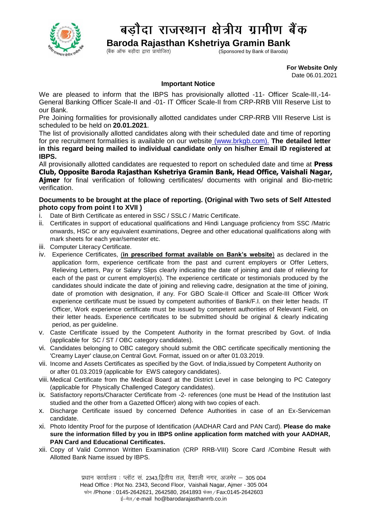

## बड़ौदा राजस्थान क्षेत्रीय ग्रामीण बैंक

**Baroda Rajasthan Kshetriya Gramin Bank**<br>(Sponsored by Bank of Baroda)  $(\ddot{\mathsf{a}}$ क ऑफ बड़ौदा द्वारा प्रायोजित)

 **For Website Only**  Date 06.01.2021

## **Important Notice**

We are pleased to inform that the IBPS has provisionally allotted -11- Officer Scale-III,-14- General Banking Officer Scale-II and -01- IT Officer Scale-II from CRP-RRB VIII Reserve List to our Bank.

Pre Joining formalities for provisionally allotted candidates under CRP-RRB VIII Reserve List is scheduled to be held on **20.01.2021**.

The list of provisionally allotted candidates along with their scheduled date and time of reporting for pre recruitment formalities is available on our website [\(www.brkgb.com\)](http://www.brkgb.com/). **The detailed letter in this regard being mailed to individual candidate only on his/her Email ID registered at IBPS.**

All provisionally allotted candidates are requested to report on scheduled date and time at **Press Club, Opposite Baroda Rajasthan Kshetriya Gramin Bank, Head Office, Vaishali Nagar, Ajmer** for final verification of following certificates/ documents with original and Bio-metric verification.

## **Documents to be brought at the place of reporting. (Original with Two sets of Self Attested photo copy from point I to XVII )**

- i. Date of Birth Certificate as entered in SSC / SSLC / Matric Certificate.
- ii. Certificates in support of educational qualifications and Hindi Language proficiency from SSC /Matric onwards, HSC or any equivalent examinations, Degree and other educational qualifications along with mark sheets for each year/semester etc.
- iii. Computer Literacy Certificate.
- iv. Experience Certificates, (**in prescribed format available on Bank's website**) as declared in the application form, experience certificate from the past and current employers or Offer Letters, Relieving Letters, Pay or Salary Slips clearly indicating the date of joining and date of relieving for each of the past or current employer(s). The experience certificate or testimonials produced by the candidates should indicate the date of joining and relieving cadre, designation at the time of joining, date of promotion with designation, if any. For GBO Scale-II Officer and Scale-III Officer Work experience certificate must be issued by competent authorities of Bank/F.I. on their letter heads. IT Officer, Work experience certificate must be issued by competent authorities of Relevant Field, on their letter heads. Experience certificates to be submitted should be original & clearly indicating period, as per guideline.
- v. Caste Certificate issued by the Competent Authority in the format prescribed by Govt. of India (applicable for SC / ST / OBC category candidates).
- vi. Candidates belonging to OBC category should submit the OBC certificate specifically mentioning the 'Creamy Layer' clause,on Central Govt. Format, issued on or after 01.03.2019.
- vii. Income and Assets Certificates as specified by the Govt. of India,issued by Competent Authority on or after 01.03.2019 (applicable for EWS category candidates).
- viii. Medical Certificate from the Medical Board at the District Level in case belonging to PC Category (applicable for Physically Challenged Category candidates).
- ix. Satisfactory reports/Character Certificate from -2- references (one must be Head of the Institution last studied and the other from a Gazetted Officer) along with two copies of each.
- x. Discharge Certificate issued by concerned Defence Authorities in case of an Ex-Serviceman candidate.
- xi. Photo Identity Proof for the purpose of Identification (AADHAR Card and PAN Card). **Please do make sure the information filled by you in IBPS online application form matched with your AADHAR, PAN Card and Educational Certificates.**
- xii. Copy of Valid Common Written Examination (CRP RRB-VIII) Score Card /Combine Result with Allotted Bank Name issued by IBPS.